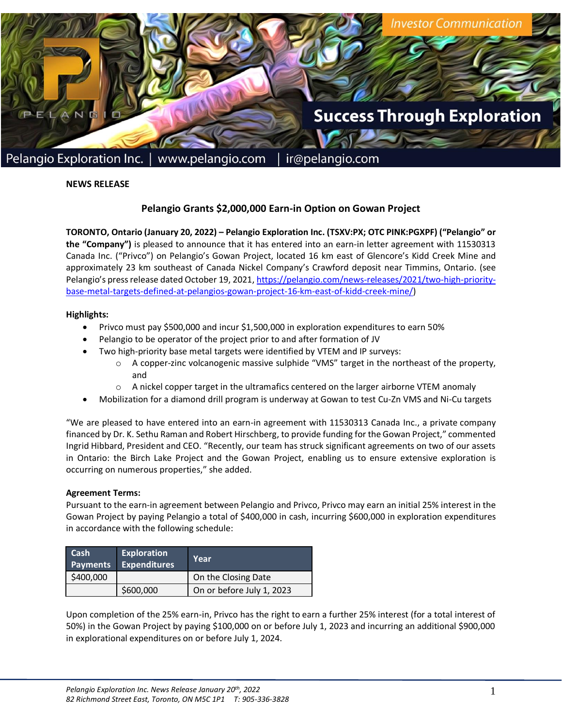

# **NEWS RELEASE**

# **Pelangio Grants \$2,000,000 Earn-in Option on Gowan Project**

**TORONTO, Ontario (January 20, 2022) – Pelangio Exploration Inc. (TSXV:PX; OTC PINK:PGXPF) ("Pelangio" or the "Company")** is pleased to announce that it has entered into an earn-in letter agreement with 11530313 Canada Inc. ("Privco") on Pelangio's Gowan Project, located 16 km east of Glencore's Kidd Creek Mine and approximately 23 km southeast of Canada Nickel Company's Crawford deposit near Timmins, Ontario. (see Pelangio's press release dated October 19, 2021, [https://pelangio.com/news-releases/2021/two-high-priority](https://pelangio.com/news-releases/2021/two-high-priority-base-metal-targets-defined-at-pelangios-gowan-project-16-km-east-of-kidd-creek-mine/)[base-metal-targets-defined-at-pelangios-gowan-project-16-km-east-of-kidd-creek-mine/\)](https://pelangio.com/news-releases/2021/two-high-priority-base-metal-targets-defined-at-pelangios-gowan-project-16-km-east-of-kidd-creek-mine/)

#### **Highlights:**

- Privco must pay \$500,000 and incur \$1,500,000 in exploration expenditures to earn 50%
- Pelangio to be operator of the project prior to and after formation of JV
- Two high-priority base metal targets were identified by VTEM and IP surveys:
	- o A copper-zinc volcanogenic massive sulphide "VMS" target in the northeast of the property, and
	- $\circ$  A nickel copper target in the ultramafics centered on the larger airborne VTEM anomaly
- Mobilization for a diamond drill program is underway at Gowan to test Cu-Zn VMS and Ni-Cu targets

"We are pleased to have entered into an earn-in agreement with 11530313 Canada Inc., a private company financed by Dr. K. Sethu Raman and Robert Hirschberg, to provide funding for the Gowan Project," commented Ingrid Hibbard, President and CEO. "Recently, our team has struck significant agreements on two of our assets in Ontario: the Birch Lake Project and the Gowan Project, enabling us to ensure extensive exploration is occurring on numerous properties," she added.

#### **Agreement Terms:**

Pursuant to the earn-in agreement between Pelangio and Privco, Privco may earn an initial 25% interest in the Gowan Project by paying Pelangio a total of \$400,000 in cash, incurring \$600,000 in exploration expenditures in accordance with the following schedule:

| <b>Cash</b><br><b>Payments</b> | <b>Exploration</b><br><b>Expenditures</b> | Year                      |
|--------------------------------|-------------------------------------------|---------------------------|
| \$400,000                      |                                           | On the Closing Date       |
|                                | \$600,000                                 | On or before July 1, 2023 |

Upon completion of the 25% earn-in, Privco has the right to earn a further 25% interest (for a total interest of 50%) in the Gowan Project by paying \$100,000 on or before July 1, 2023 and incurring an additional \$900,000 in explorational expenditures on or before July 1, 2024.